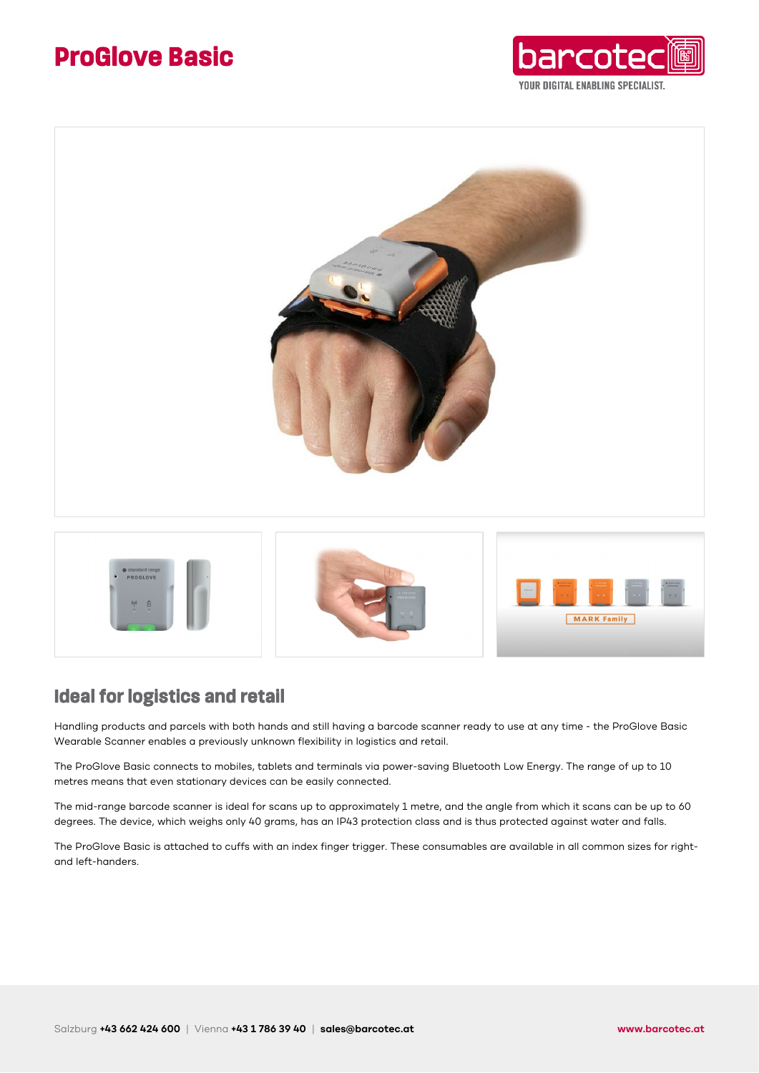## **ProGlove Basic**







### **Ideal for logistics and retail**

Handling products and parcels with both hands and still having a barcode scanner ready to use at any time - the ProGlove Basic Wearable Scanner enables a previously unknown flexibility in logistics and retail.

The ProGlove Basic connects to mobiles, tablets and terminals via power-saving Bluetooth Low Energy. The range of up to 10 metres means that even stationary devices can be easily connected.

The mid-range barcode scanner is ideal for scans up to approximately 1 metre, and the angle from which it scans can be up to 60 degrees. The device, which weighs only 40 grams, has an IP43 protection class and is thus protected against water and falls.

The ProGlove Basic is attached to cuffs with an index finger trigger. These consumables are available in all common sizes for rightand left-handers.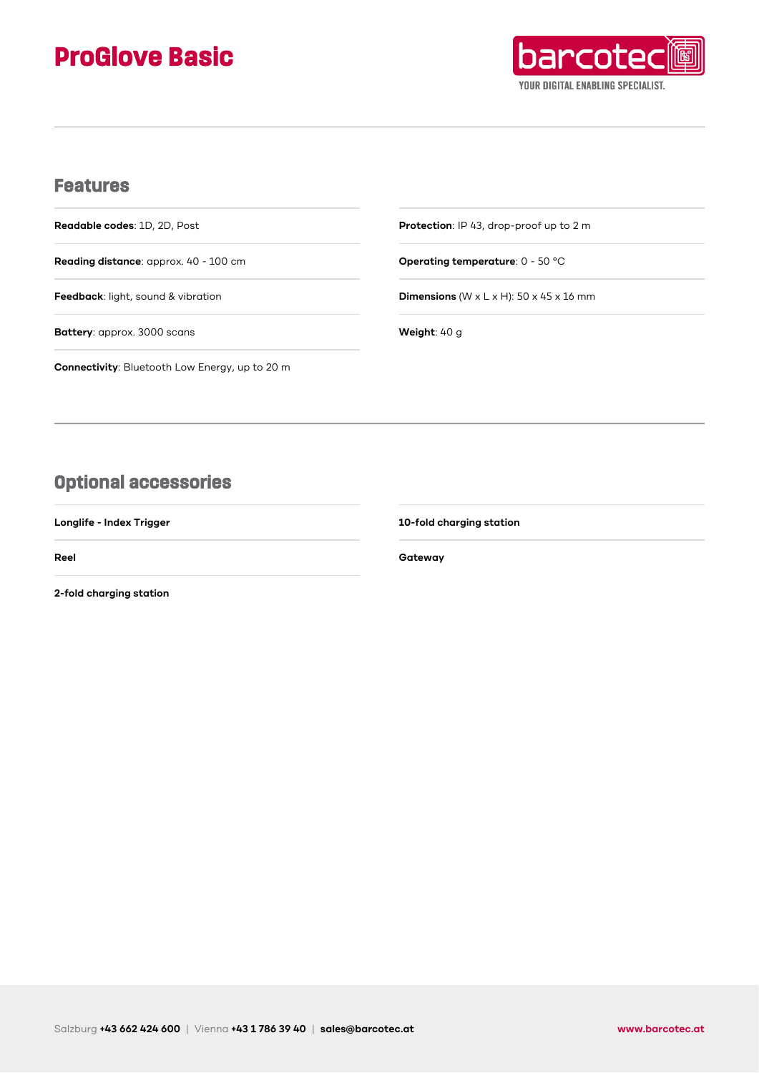# **ProGlove Basic**



### **Features**

**Readable codes**: 1D, 2D, Post

**Reading distance**: approx. 40 - 100 cm

**Feedback**: light, sound & vibration

**Battery**: approx. 3000 scans

**Connectivity**: Bluetooth Low Energy, up to 20 m

**Protection**: IP 43, drop-proof up to 2 m

**Operating temperature**: 0 - 50 °C

**Dimensions** (W x L x H): 50 x 45 x 16 mm

**Weight**: 40 g

## **Optional accessories**

**Longlife - Index Trigger**

**Reel**

**2-fold charging station**

**10-fold charging station**

**Gateway**